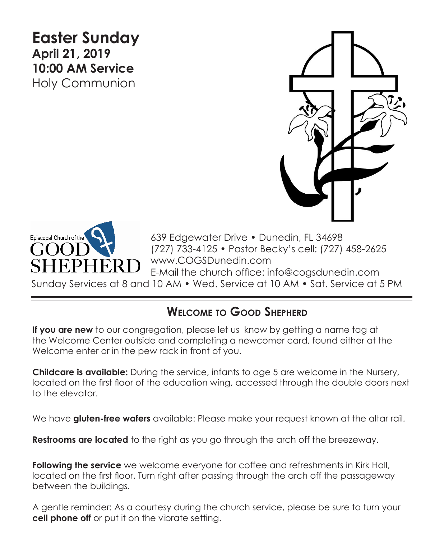**Easter Sunday April 21, 2019 10:00 AM Service**  Holy Communion





639 Edgewater Drive • Dunedin, FL 34698 (727) 733-4125 • Pastor Becky's cell: (727) 458-2625 www.COGSDunedin.com E-Mail the church office: info@cogsdunedin.com

Sunday Services at 8 and 10 AM • Wed. Service at 10 AM • Sat. Service at 5 PM

# **Welcome to Good Shepherd**

**If you are new** to our congregation, please let us know by getting a name tag at the Welcome Center outside and completing a newcomer card, found either at the Welcome enter or in the pew rack in front of you.

**Childcare is available:** During the service, infants to age 5 are welcome in the Nursery, located on the first floor of the education wing, accessed through the double doors next to the elevator.

We have **gluten-free wafers** available: Please make your request known at the altar rail.

**Restrooms are located** to the right as you go through the arch off the breezeway.

**Following the service** we welcome everyone for coffee and refreshments in Kirk Hall, located on the first floor. Turn right after passing through the arch off the passageway between the buildings.

A gentle reminder: As a courtesy during the church service, please be sure to turn your **cell phone off** or put it on the vibrate setting.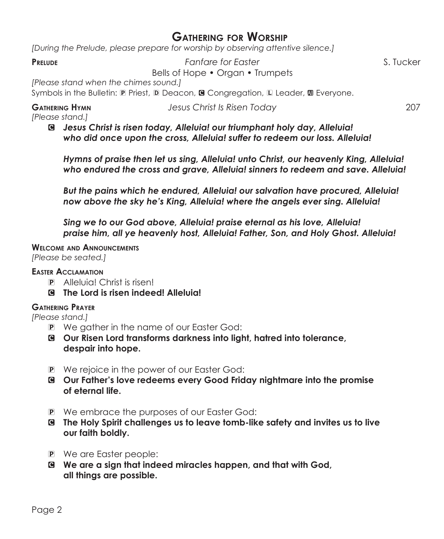# **Gathering for Worship**

*[During the Prelude, please prepare for worship by observing attentive silence.]*

## **Prelude** *Fanfare for Easter* S. Tucker

Bells of Hope • Organ • Trumpets

*[Please stand when the chimes sound.]*

Symbols in the Bulletin:  $\mathbb D$  Priest,  $\mathbb D$  Deacon, **G** Congregation,  $\mathbb L$  Leader,  $\mathbb D$  Everyone.

**Gathering Hymn** *Jesus Christ Is Risen Today* 207

*[Please stand.]*

C *Jesus Christ is risen today, Alleluia! our triumphant holy day, Alleluia! who did once upon the cross, Alleluia! suffer to redeem our loss. Alleluia!*

 *Hymns of praise then let us sing, Alleluia! unto Christ, our heavenly King, Alleluia! who endured the cross and grave, Alleluia! sinners to redeem and save. Alleluia!*

 *But the pains which he endured, Alleluia! our salvation have procured, Alleluia! now above the sky he's King, Alleluia! where the angels ever sing. Alleluia!*

 *Sing we to our God above, Alleluia! praise eternal as his love, Alleluia! praise him, all ye heavenly host, Alleluia! Father, Son, and Holy Ghost. Alleluia!*

**Welcome and Announcements** *[Please be seated.]*

#### **Easter Acclamation**

- P Alleluia! Christ is risen!
- C **The Lord is risen indeed! Alleluia!**

### **Gathering Prayer**

*[Please stand.]*

- P We gather in the name of our Easter God:
- C **Our Risen Lord transforms darkness into light, hatred into tolerance, despair into hope.**
- P We rejoice in the power of our Easter God:
- C **Our Father's love redeems every Good Friday nightmare into the promise of eternal life.**
- P We embrace the purposes of our Easter God:
- C **The Holy Spirit challenges us to leave tomb-like safety and invites us to live our faith boldly.**
- P We are Easter people:
- C **We are a sign that indeed miracles happen, and that with God, all things are possible.**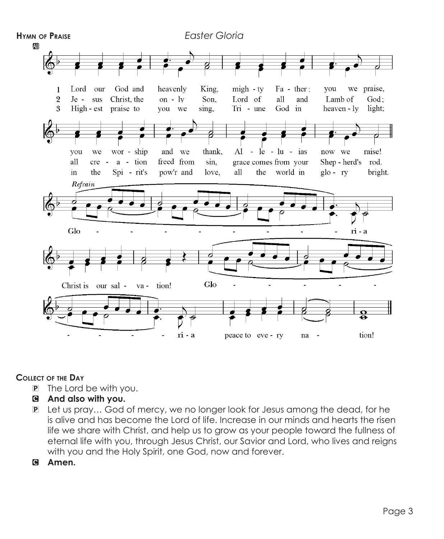

### **Collect of the Day**

- P The Lord be with you.
- C **And also with you.**
- P Let us pray… God of mercy, we no longer look for Jesus among the dead, for he is alive and has become the Lord of life. Increase in our minds and hearts the risen life we share with Christ, and help us to grow as your people toward the fullness of eternal life with you, through Jesus Christ, our Savior and Lord, who lives and reigns with you and the Holy Spirit, one God, now and forever.
- C **Amen.**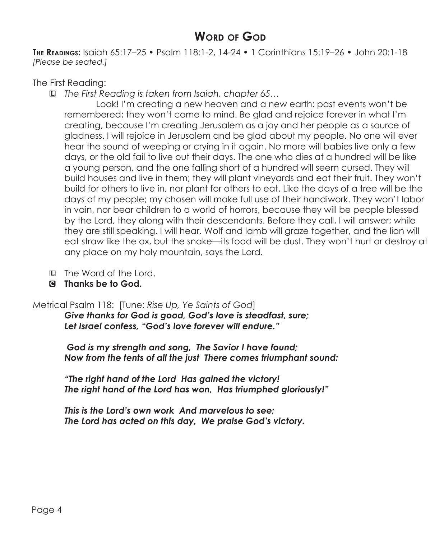# **WORD OF GOD**

**The Readings:** Isaiah 65:17–25 • Psalm 118:1-2, 14-24 • 1 Corinthians 15:19–26 • John 20:1-18 *[Please be seated.]*

The First Reading:

L *The First Reading is taken from Isaiah, chapter 65…*

 Look! I'm creating a new heaven and a new earth: past events won't be remembered; they won't come to mind. Be glad and rejoice forever in what I'm creating, because I'm creating Jerusalem as a joy and her people as a source of gladness. I will rejoice in Jerusalem and be glad about my people. No one will ever hear the sound of weeping or crying in it again. No more will babies live only a few days, or the old fail to live out their days. The one who dies at a hundred will be like a young person, and the one falling short of a hundred will seem cursed. They will build houses and live in them; they will plant vineyards and eat their fruit. They won't build for others to live in, nor plant for others to eat. Like the days of a tree will be the days of my people; my chosen will make full use of their handiwork. They won't labor in vain, nor bear children to a world of horrors, because they will be people blessed by the Lord, they along with their descendants. Before they call, I will answer; while they are still speaking, I will hear. Wolf and lamb will graze together, and the lion will eat straw like the ox, but the snake—its food will be dust. They won't hurt or destroy at any place on my holy mountain, says the Lord.

- L The Word of the Lord.
- C **Thanks be to God.**

Metrical Psalm 118: [Tune: *Rise Up, Ye Saints of God*]

 *Give thanks for God is good, God's love is steadfast, sure; Let Israel confess, "God's love forever will endure."*

 *God is my strength and song, The Savior I have found; Now from the tents of all the just There comes triumphant sound:*

*"The right hand of the Lord Has gained the victory! The right hand of the Lord has won, Has triumphed gloriously!"*

*This is the Lord's own work And marvelous to see; The Lord has acted on this day, We praise God's victory.*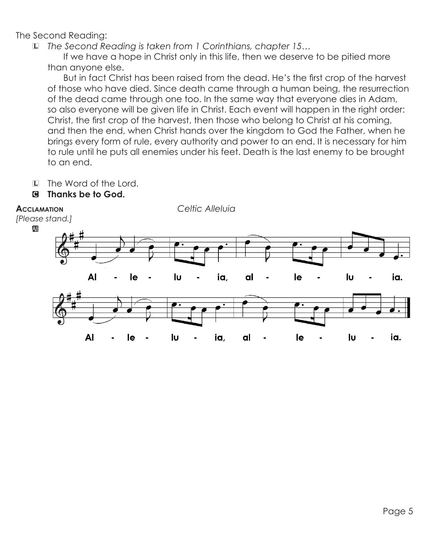The Second Reading:

L *The Second Reading is taken from 1 Corinthians, chapter 15…*

 If we have a hope in Christ only in this life, then we deserve to be pitied more than anyone else.

But in fact Christ has been raised from the dead. He's the first crop of the harvest of those who have died. Since death came through a human being, the resurrection of the dead came through one too. In the same way that everyone dies in Adam, so also everyone will be given life in Christ. Each event will happen in the right order: Christ, the first crop of the harvest, then those who belong to Christ at his coming, and then the end, when Christ hands over the kingdom to God the Father, when he brings every form of rule, every authority and power to an end. It is necessary for him to rule until he puts all enemies under his feet. Death is the last enemy to be brought to an end.

L The Word of the Lord.



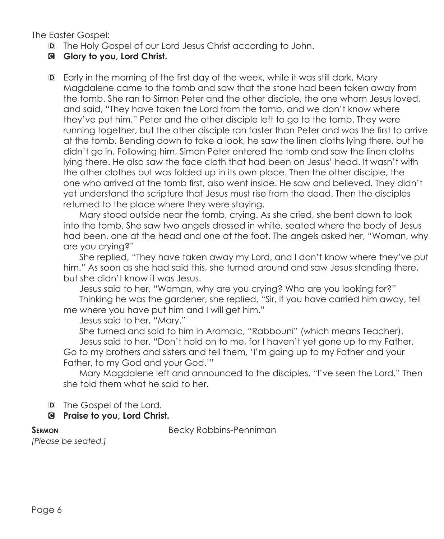The Easter Gospel:

- D The Holy Gospel of our Lord Jesus Christ according to John.
- C **Glory to you, Lord Christ.**
- D Early in the morning of the first day of the week, while it was still dark, Mary Magdalene came to the tomb and saw that the stone had been taken away from the tomb. She ran to Simon Peter and the other disciple, the one whom Jesus loved, and said, "They have taken the Lord from the tomb, and we don't know where they've put him." Peter and the other disciple left to go to the tomb. They were running together, but the other disciple ran faster than Peter and was the first to arrive at the tomb. Bending down to take a look, he saw the linen cloths lying there, but he didn't go in. Following him, Simon Peter entered the tomb and saw the linen cloths lying there. He also saw the face cloth that had been on Jesus' head. It wasn't with the other clothes but was folded up in its own place. Then the other disciple, the one who arrived at the tomb first, also went inside. He saw and believed. They didn't yet understand the scripture that Jesus must rise from the dead. Then the disciples returned to the place where they were staying.

 Mary stood outside near the tomb, crying. As she cried, she bent down to look into the tomb. She saw two angels dressed in white, seated where the body of Jesus had been, one at the head and one at the foot. The angels asked her, "Woman, why are you crying?"

She replied, "They have taken away my Lord, and I don't know where they've put him." As soon as she had said this, she turned around and saw Jesus standing there, but she didn't know it was Jesus.

 Jesus said to her, "Woman, why are you crying? Who are you looking for?" Thinking he was the gardener, she replied, "Sir, if you have carried him away, tell me where you have put him and I will get him."

Jesus said to her, "Mary."

She turned and said to him in Aramaic, "Rabbouni" (which means Teacher). Jesus said to her, "Don't hold on to me, for I haven't yet gone up to my Father. Go to my brothers and sisters and tell them, 'I'm going up to my Father and your Father, to my God and your God.'"

Mary Magdalene left and announced to the disciples, "I've seen the Lord." Then she told them what he said to her.

- D The Gospel of the Lord.
- C **Praise to you, Lord Christ.**

*[Please be seated.]*

**SERMON** Becky Robbins-Penniman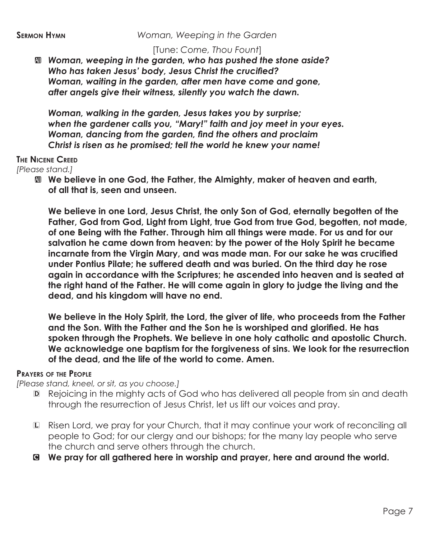## [Tune: *Come, Thou Fount*]

a *Woman, weeping in the garden, who has pushed the stone aside? Who has taken Jesus' body, Jesus Christ the crucified? Woman, waiting in the garden, after men have come and gone, after angels give their witness, silently you watch the dawn.*

*Woman, walking in the garden, Jesus takes you by surprise; when the gardener calls you, "Mary!" faith and joy meet in your eyes. Woman, dancing from the garden, find the others and proclaim Christ is risen as he promised; tell the world he knew your name!* 

**The Nicene Creed**

*[Please stand.]*

a **We believe in one God, the Father, the Almighty, maker of heaven and earth, of all that is, seen and unseen.**

 **We believe in one Lord, Jesus Christ, the only Son of God, eternally begotten of the Father, God from God, Light from Light, true God from true God, begotten, not made, of one Being with the Father. Through him all things were made. For us and for our salvation he came down from heaven: by the power of the Holy Spirit he became incarnate from the Virgin Mary, and was made man. For our sake he was crucified under Pontius Pilate; he suffered death and was buried. On the third day he rose again in accordance with the Scriptures; he ascended into heaven and is seated at the right hand of the Father. He will come again in glory to judge the living and the dead, and his kingdom will have no end.**

 **We believe in the Holy Spirit, the Lord, the giver of life, who proceeds from the Father and the Son. With the Father and the Son he is worshiped and glorified. He has spoken through the Prophets. We believe in one holy catholic and apostolic Church. We acknowledge one baptism for the forgiveness of sins. We look for the resurrection of the dead, and the life of the world to come. Amen.**

#### **Prayers of the People**

*[Please stand, kneel, or sit, as you choose.]*

- D Rejoicing in the mighty acts of God who has delivered all people from sin and death through the resurrection of Jesus Christ, let us lift our voices and pray.
- L Risen Lord, we pray for your Church, that it may continue your work of reconciling all people to God; for our clergy and our bishops; for the many lay people who serve the church and serve others through the church.
- C **We pray for all gathered here in worship and prayer, here and around the world.**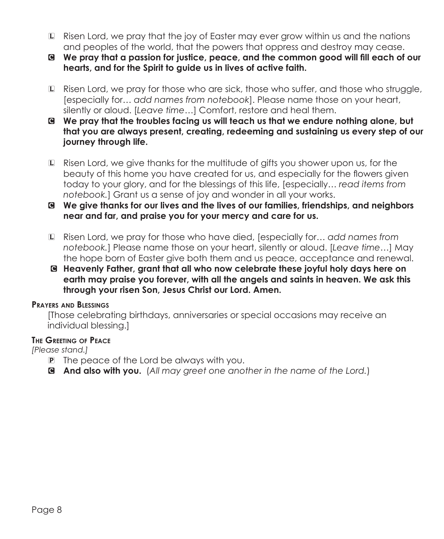- L Risen Lord, we pray that the joy of Easter may ever grow within us and the nations and peoples of the world, that the powers that oppress and destroy may cease.
- C **We pray that a passion for justice, peace, and the common good will fill each of our hearts, and for the Spirit to guide us in lives of active faith.**
- L Risen Lord, we pray for those who are sick, those who suffer, and those who struggle, [especially for… *add names from notebook*]. Please name those on your heart, silently or aloud. [*Leave time…*] Comfort, restore and heal them.
- C **We pray that the troubles facing us will teach us that we endure nothing alone, but that you are always present, creating, redeeming and sustaining us every step of our journey through life.**
- L Risen Lord, we give thanks for the multitude of gifts you shower upon us, for the beauty of this home you have created for us, and especially for the flowers given today to your glory, and for the blessings of this life, [especially… *read items from notebook.*] Grant us a sense of joy and wonder in all your works.
- C **We give thanks for our lives and the lives of our families, friendships, and neighbors near and far, and praise you for your mercy and care for us.**
- L Risen Lord, we pray for those who have died, [especially for… *add names from notebook.*] Please name those on your heart, silently or aloud. [*Leave time…*] May the hope born of Easter give both them and us peace, acceptance and renewal.
- C **Heavenly Father, grant that all who now celebrate these joyful holy days here on earth may praise you forever, with all the angels and saints in heaven. We ask this through your risen Son, Jesus Christ our Lord. Amen.**

### **Prayers and Blessings**

[Those celebrating birthdays, anniversaries or special occasions may receive an individual blessing.]

### **The Greeting of Peace**

*[Please stand.]*

- P The peace of the Lord be always with you.
- C **And also with you.** (*All may greet one another in the name of the Lord.*)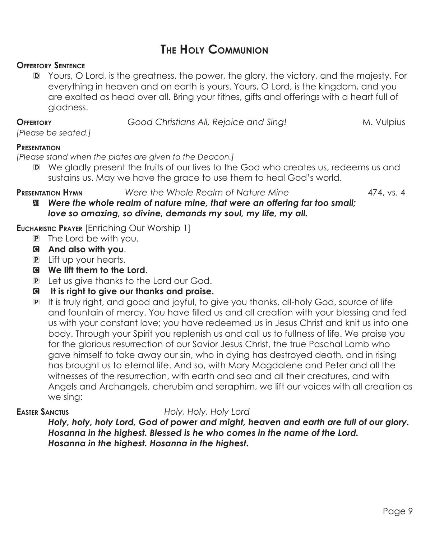# **The Holy Communion**

### **Offertory Sentence**

D Yours, O Lord, is the greatness, the power, the glory, the victory, and the majesty. For everything in heaven and on earth is yours. Yours, O Lord, is the kingdom, and you are exalted as head over all. Bring your tithes, gifts and offerings with a heart full of gladness.

**Offertory** *Good Christians All, Rejoice and Sing!* M. Vulpius

*[Please be seated.]*

### **Presentation**

*[Please stand when the plates are given to the Deacon.]*

D We gladly present the fruits of our lives to the God who creates us, redeems us and sustains us. May we have the grace to use them to heal God's world.

**Presentation Hymn** *Were the Whole Realm of Nature Mine* 474, vs. 4

 $\blacksquare$  Were the whole realm of nature mine, that were an offering far too small;  *love so amazing, so divine, demands my soul, my life, my all.*

## **Eucharistic Prayer** [Enriching Our Worship 1]

- P The Lord be with you.
- C **And also with you**.
- P Lift up your hearts.
- C **We lift them to the Lord**.
- P Let us give thanks to the Lord our God.
- C **It is right to give our thanks and praise.**
- P It is truly right, and good and joyful, to give you thanks, all-holy God, source of life and fountain of mercy. You have filled us and all creation with your blessing and fed us with your constant love; you have redeemed us in Jesus Christ and knit us into one body. Through your Spirit you replenish us and call us to fullness of life. We praise you for the glorious resurrection of our Savior Jesus Christ, the true Paschal Lamb who gave himself to take away our sin, who in dying has destroyed death, and in rising has brought us to eternal life. And so, with Mary Magdalene and Peter and all the witnesses of the resurrection, with earth and sea and all their creatures, and with Angels and Archangels, cherubim and seraphim, we lift our voices with all creation as we sing:

## **Easter Sanctus** *Holy, Holy, Holy Lord*

*Holy, holy, holy Lord, God of power and might, heaven and earth are full of our glory. Hosanna in the highest. Blessed is he who comes in the name of the Lord. Hosanna in the highest. Hosanna in the highest.*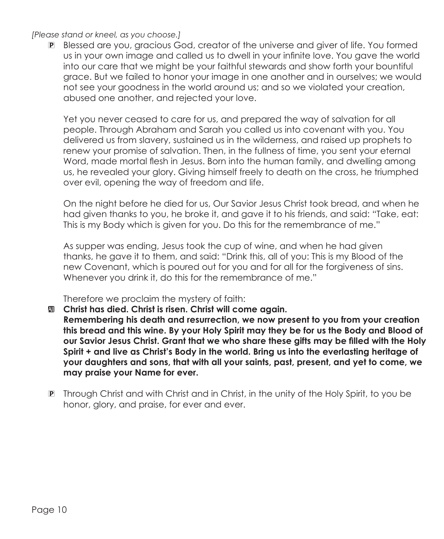*[Please stand or kneel, as you choose.]*

P Blessed are you, gracious God, creator of the universe and giver of life. You formed us in your own image and called us to dwell in your infinite love. You gave the world into our care that we might be your faithful stewards and show forth your bountiful grace. But we failed to honor your image in one another and in ourselves; we would not see your goodness in the world around us; and so we violated your creation, abused one another, and rejected your love.

 Yet you never ceased to care for us, and prepared the way of salvation for all people. Through Abraham and Sarah you called us into covenant with you. You delivered us from slavery, sustained us in the wilderness, and raised up prophets to renew your promise of salvation. Then, in the fullness of time, you sent your eternal Word, made mortal flesh in Jesus. Born into the human family, and dwelling among us, he revealed your glory. Giving himself freely to death on the cross, he triumphed over evil, opening the way of freedom and life.

 On the night before he died for us, Our Savior Jesus Christ took bread, and when he had given thanks to you, he broke it, and gave it to his friends, and said: "Take, eat: This is my Body which is given for you. Do this for the remembrance of me."

As supper was ending, Jesus took the cup of wine, and when he had given thanks, he gave it to them, and said: "Drink this, all of you: This is my Blood of the new Covenant, which is poured out for you and for all for the forgiveness of sins. Whenever you drink it, do this for the remembrance of me."

Therefore we proclaim the mystery of faith:

- $\mathbb{R}$  Christ has died. Christ is risen. Christ will come again.  **Remembering his death and resurrection, we now present to you from your creation this bread and this wine. By your Holy Spirit may they be for us the Body and Blood of our Savior Jesus Christ. Grant that we who share these gifts may be filled with the Holy Spirit + and live as Christ's Body in the world. Bring us into the everlasting heritage of your daughters and sons, that with all your saints, past, present, and yet to come, we may praise your Name for ever.**
- P Through Christ and with Christ and in Christ, in the unity of the Holy Spirit, to you be honor, glory, and praise, for ever and ever.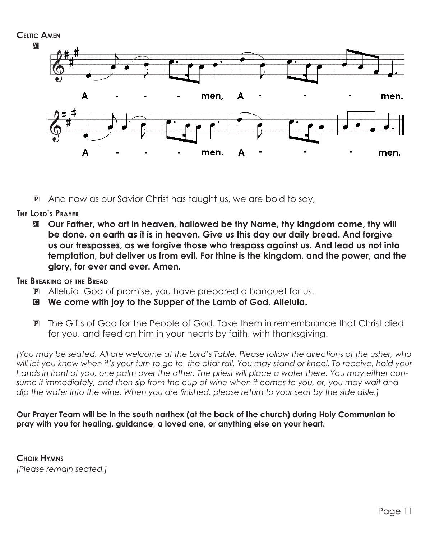

P And now as our Savior Christ has taught us, we are bold to say,

**The Lord's Prayer**

a **Our Father, who art in heaven, hallowed be thy Name, thy kingdom come, thy will be done, on earth as it is in heaven. Give us this day our daily bread. And forgive us our trespasses, as we forgive those who trespass against us. And lead us not into temptation, but deliver us from evil. For thine is the kingdom, and the power, and the glory, for ever and ever. Amen.**

## **The Breaking of the Bread**

- P Alleluia. God of promise, you have prepared a banquet for us.
- C **We come with joy to the Supper of the Lamb of God. Alleluia.**
- P The Gifts of God for the People of God. Take them in remembrance that Christ died for you, and feed on him in your hearts by faith, with thanksgiving.

*[You may be seated. All are welcome at the Lord's Table. Please follow the directions of the usher, who*  will let you know when it's your turn to go to the altar rail. You may stand or kneel. To receive, hold your *hands in front of you, one palm over the other. The priest will place a wafer there. You may either consume it immediately, and then sip from the cup of wine when it comes to you, or, you may wait and dip the wafer into the wine. When you are finished, please return to your seat by the side aisle.]*

#### **Our Prayer Team will be in the south narthex (at the back of the church) during Holy Communion to pray with you for healing, guidance, a loved one, or anything else on your heart.**

**Choir Hymns** *[Please remain seated.]*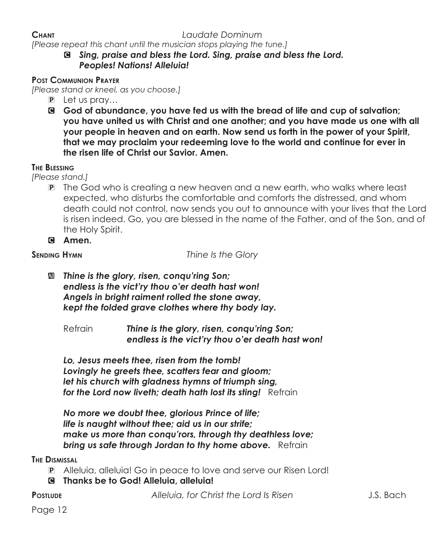### **Chant** *Laudate Dominum*

*[Please repeat this chant until the musician stops playing the tune.]*

### C *Sing, praise and bless the Lord. Sing, praise and bless the Lord. Peoples! Nations! Alleluia!*

### **Post Communion Prayer**

*[Please stand or kneel, as you choose.]*

- P Let us pray…
- C **God of abundance, you have fed us with the bread of life and cup of salvation; you have united us with Christ and one another; and you have made us one with all your people in heaven and on earth. Now send us forth in the power of your Spirit, that we may proclaim your redeeming love to the world and continue for ever in the risen life of Christ our Savior. Amen.**

#### **The Blessing**

*[Please stand.]*

P The God who is creating a new heaven and a new earth, who walks where least expected, who disturbs the comfortable and comforts the distressed, and whom death could not control, now sends you out to announce with your lives that the Lord is risen indeed. Go, you are blessed in the name of the Father, and of the Son, and of the Holy Spirit.

C **Amen.**

**Sending Hymn** *Thine Is the Glory*

a *Thine is the glory, risen, conqu'ring Son; endless is the vict'ry thou o'er death hast won! Angels in bright raiment rolled the stone away, kept the folded grave clothes where thy body lay.*

Refrain *Thine is the glory, risen, conqu'ring Son; endless is the vict'ry thou o'er death hast won!*

*Lo, Jesus meets thee, risen from the tomb! Lovingly he greets thee, scatters fear and gloom; let his church with gladness hymns of triumph sing,* for the Lord now liveth; death hath lost its sting! Refrain

*No more we doubt thee, glorious Prince of life; life is naught without thee; aid us in our strife; make us more than conqu'rors, through thy deathless love;* **bring us safe through Jordan to thy home above.** Refrain

#### **The Dismissal**

- P Alleluia, alleluia! Go in peace to love and serve our Risen Lord!
- C **Thanks be to God! Alleluia, alleluia!**

**Postlude** *Alleluia, for Christ the Lord Is Risen* J.S. Bach

Page 12